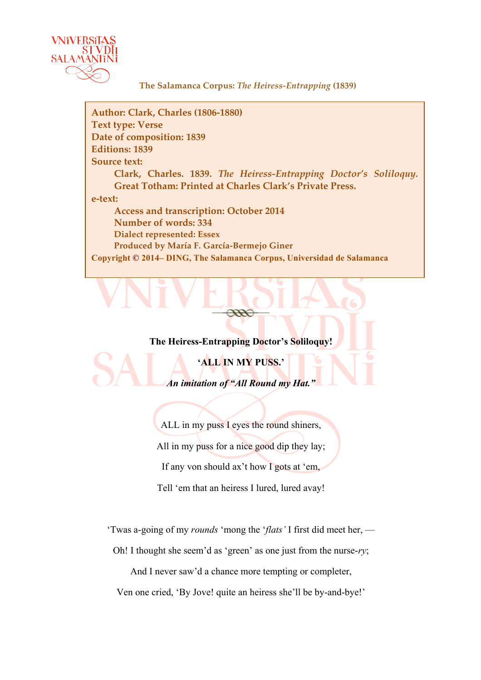

**The Salamanca Corpus:** *The Heiress-Entrapping* **(1839)**

**Author: Clark, Charles (1806-1880) Text type: Verse Date of composition: 1839 Editions: 1839 Source text: Clark, Charles. 1839.** *The Heiress-Entrapping Doctor's Soliloquy.* **Great Totham: Printed at Charles Clark's Private Press. e-text: Access and transcription: October 2014 Number of words: 334 Dialect represented: Essex Produced by María F. García-Bermejo Giner Copyright © 2014– DING, The Salamanca Corpus, Universidad de Salamanca**

**The Heiress-Entrapping Doctor's Soliloquy!**

**'ALL IN MY PUSS.'** *An imitation of "All Round my Hat."*

> ALL in my puss I eyes the round shiners, All in my puss for a nice good dip they lay; If any von should ax't how I gots at 'em, Tell 'em that an heiress I lured, lured avay!

'Twas a-going of my *rounds* 'mong the '*flats'* I first did meet her, —

Oh! I thought she seem'd as 'green' as one just from the nurse-*ry*;

And I never saw'd a chance more tempting or completer,

Ven one cried, 'By Jove! quite an heiress she'll be by-and-bye!'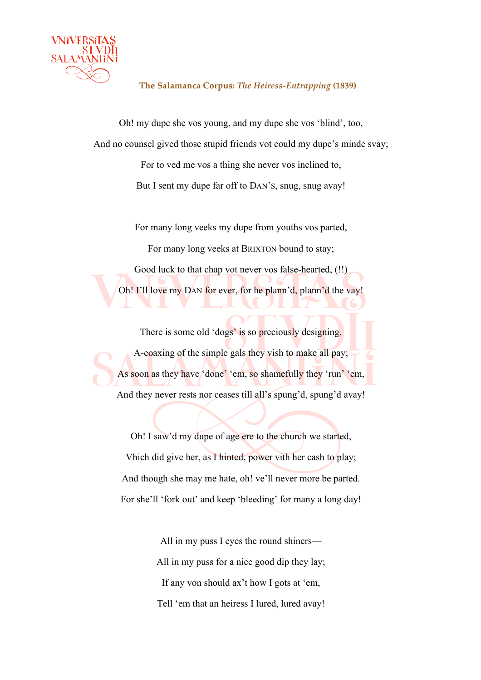

## **The Salamanca Corpus:** *The Heiress-Entrapping* **(1839)**

Oh! my dupe she vos young, and my dupe she vos 'blind', too, And no counsel gived those stupid friends vot could my dupe's minde svay; For to ved me vos a thing she never vos inclined to,

But I sent my dupe far off to DAN'S, snug, snug avay!

For many long veeks my dupe from youths vos parted, For many long veeks at BRIXTON bound to stay; Good luck to that chap vot never vos false-hearted,  $(!!)$ Oh! I'll love my DAN for ever, for he plann'd, plann'd the vay!

There is some old 'dogs' is so preciously designing, A-coaxing of the simple gals they vish to make all pay; As soon as they have 'done' 'em, so shamefully they 'run' 'em, And they never rests nor ceases till all's spung'd, spung'd avay!

Oh! I saw'd my dupe of age ere to the church we started, Vhich did give her, as I hinted, power vith her cash to play; And though she may me hate, oh! ve'll never more be parted. For she'll 'fork out' and keep 'bleeding' for many a long day!

> All in my puss I eyes the round shiners— All in my puss for a nice good dip they lay; If any von should ax't how I gots at 'em, Tell 'em that an heiress I lured, lured avay!